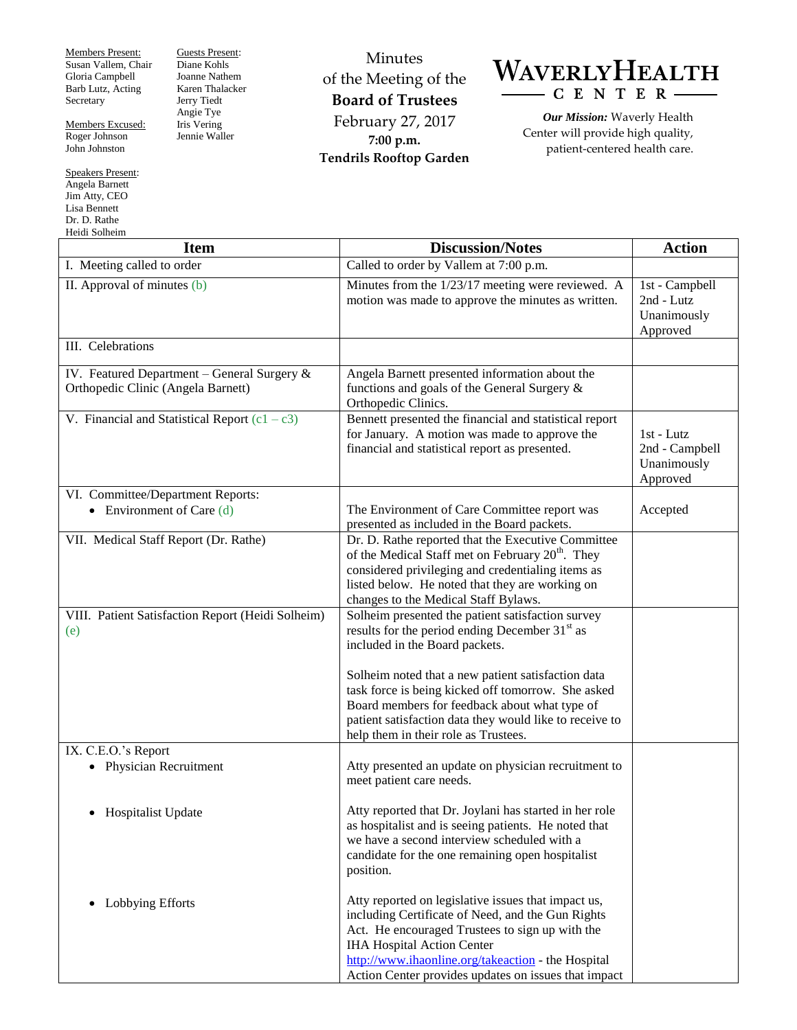Members Present: Susan Vallem, Chair Gloria Campbell Barb Lutz, Acting Secretary

Members Excused: Roger Johnson John Johnston

Guests Present: Diane Kohls Joanne Nathem Karen Thalacker Jerry Tiedt Angie Tye Iris Vering Jennie Waller

Minutes of the Meeting of the **Board of Trustees** February 27, 2017 **7:00 p.m. Tendrils Rooftop Garden**

## WAVERLYHEALTH  $-C E N T E R -$

*Our Mission:* Waverly Health Center will provide high quality, patient-centered health care.

| Heidi Solheim                                                                        |                                                                                                                                                                                                                                                                                                                                                                                                                   |                                                         |  |
|--------------------------------------------------------------------------------------|-------------------------------------------------------------------------------------------------------------------------------------------------------------------------------------------------------------------------------------------------------------------------------------------------------------------------------------------------------------------------------------------------------------------|---------------------------------------------------------|--|
| <b>Item</b>                                                                          | <b>Discussion/Notes</b>                                                                                                                                                                                                                                                                                                                                                                                           | <b>Action</b>                                           |  |
| I. Meeting called to order                                                           | Called to order by Vallem at 7:00 p.m.                                                                                                                                                                                                                                                                                                                                                                            |                                                         |  |
| II. Approval of minutes (b)                                                          | Minutes from the 1/23/17 meeting were reviewed. A<br>motion was made to approve the minutes as written.                                                                                                                                                                                                                                                                                                           | 1st - Campbell<br>2nd - Lutz<br>Unanimously<br>Approved |  |
| III. Celebrations                                                                    |                                                                                                                                                                                                                                                                                                                                                                                                                   |                                                         |  |
| IV. Featured Department - General Surgery $\&$<br>Orthopedic Clinic (Angela Barnett) | Angela Barnett presented information about the<br>functions and goals of the General Surgery &<br>Orthopedic Clinics.                                                                                                                                                                                                                                                                                             |                                                         |  |
| V. Financial and Statistical Report $(c1 - c3)$                                      | Bennett presented the financial and statistical report<br>for January. A motion was made to approve the<br>financial and statistical report as presented.                                                                                                                                                                                                                                                         | 1st - Lutz<br>2nd - Campbell<br>Unanimously<br>Approved |  |
| VI. Committee/Department Reports:<br>• Environment of Care $(d)$                     | The Environment of Care Committee report was<br>presented as included in the Board packets.                                                                                                                                                                                                                                                                                                                       | Accepted                                                |  |
| VII. Medical Staff Report (Dr. Rathe)                                                | Dr. D. Rathe reported that the Executive Committee<br>of the Medical Staff met on February $20th$ . They<br>considered privileging and credentialing items as<br>listed below. He noted that they are working on<br>changes to the Medical Staff Bylaws.                                                                                                                                                          |                                                         |  |
| VIII. Patient Satisfaction Report (Heidi Solheim)<br>(e)                             | Solheim presented the patient satisfaction survey<br>results for the period ending December 31 <sup>st</sup> as<br>included in the Board packets.<br>Solheim noted that a new patient satisfaction data<br>task force is being kicked off tomorrow. She asked<br>Board members for feedback about what type of<br>patient satisfaction data they would like to receive to<br>help them in their role as Trustees. |                                                         |  |
| IX. C.E.O.'s Report<br>• Physician Recruitment                                       | Atty presented an update on physician recruitment to<br>meet patient care needs.                                                                                                                                                                                                                                                                                                                                  |                                                         |  |
| Hospitalist Update                                                                   | Atty reported that Dr. Joylani has started in her role<br>as hospitalist and is seeing patients. He noted that<br>we have a second interview scheduled with a<br>candidate for the one remaining open hospitalist<br>position.                                                                                                                                                                                    |                                                         |  |
| Lobbying Efforts<br>$\bullet$                                                        | Atty reported on legislative issues that impact us,<br>including Certificate of Need, and the Gun Rights<br>Act. He encouraged Trustees to sign up with the<br><b>IHA Hospital Action Center</b><br>http://www.ihaonline.org/takeaction - the Hospital<br>Action Center provides updates on issues that impact                                                                                                    |                                                         |  |

Speakers Present: Angela Barnett Jim Atty, CEO Lisa Bennett Dr. D. Rathe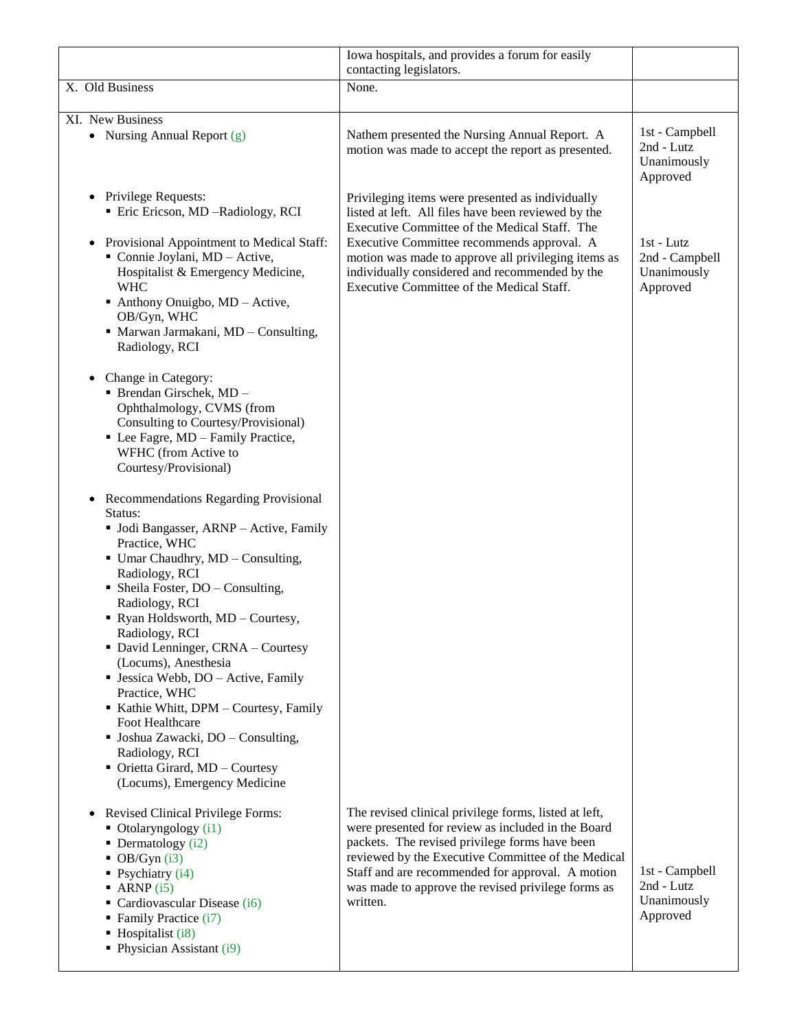|                                                                                                                                                                                                                                                                                                                                                                                                                                                                                                                                                                                                                 | Iowa hospitals, and provides a forum for easily                                                                                                                                                                                                                                                                                                              |                                                         |
|-----------------------------------------------------------------------------------------------------------------------------------------------------------------------------------------------------------------------------------------------------------------------------------------------------------------------------------------------------------------------------------------------------------------------------------------------------------------------------------------------------------------------------------------------------------------------------------------------------------------|--------------------------------------------------------------------------------------------------------------------------------------------------------------------------------------------------------------------------------------------------------------------------------------------------------------------------------------------------------------|---------------------------------------------------------|
|                                                                                                                                                                                                                                                                                                                                                                                                                                                                                                                                                                                                                 | contacting legislators.                                                                                                                                                                                                                                                                                                                                      |                                                         |
| X. Old Business                                                                                                                                                                                                                                                                                                                                                                                                                                                                                                                                                                                                 | None.                                                                                                                                                                                                                                                                                                                                                        |                                                         |
| XI. New Business                                                                                                                                                                                                                                                                                                                                                                                                                                                                                                                                                                                                |                                                                                                                                                                                                                                                                                                                                                              |                                                         |
| • Nursing Annual Report $(g)$                                                                                                                                                                                                                                                                                                                                                                                                                                                                                                                                                                                   | Nathem presented the Nursing Annual Report. A<br>motion was made to accept the report as presented.                                                                                                                                                                                                                                                          | 1st - Campbell<br>2nd - Lutz<br>Unanimously<br>Approved |
| Privilege Requests:<br>Eric Ericson, MD -Radiology, RCI<br>Provisional Appointment to Medical Staff:<br>$\bullet$<br>Connie Joylani, MD - Active,<br>Hospitalist & Emergency Medicine,<br><b>WHC</b><br>$\blacksquare$ Anthony Onuigbo, MD – Active,<br>OB/Gyn, WHC<br>• Marwan Jarmakani, MD - Consulting,<br>Radiology, RCI                                                                                                                                                                                                                                                                                   | Privileging items were presented as individually<br>listed at left. All files have been reviewed by the<br>Executive Committee of the Medical Staff. The<br>Executive Committee recommends approval. A<br>motion was made to approve all privileging items as<br>individually considered and recommended by the<br>Executive Committee of the Medical Staff. | 1st - Lutz<br>2nd - Campbell<br>Unanimously<br>Approved |
| Change in Category:<br>$\bullet$<br>· Brendan Girschek, MD -<br>Ophthalmology, CVMS (from<br>Consulting to Courtesy/Provisional)<br>• Lee Fagre, MD - Family Practice,<br>WFHC (from Active to<br>Courtesy/Provisional)                                                                                                                                                                                                                                                                                                                                                                                         |                                                                                                                                                                                                                                                                                                                                                              |                                                         |
| <b>Recommendations Regarding Provisional</b><br>$\bullet$<br>Status:<br>• Jodi Bangasser, ARNP - Active, Family<br>Practice, WHC<br>Umar Chaudhry, MD - Consulting,<br>Radiology, RCI<br>• Sheila Foster, DO - Consulting,<br>Radiology, RCI<br>• Ryan Holdsworth, MD - Courtesy,<br>Radiology, RCI<br>• David Lenninger, CRNA - Courtesy<br>(Locums), Anesthesia<br>• Jessica Webb, DO – Active, Family<br>Practice, WHC<br>Kathie Whitt, DPM - Courtesy, Family<br>Foot Healthcare<br>• Joshua Zawacki, DO - Consulting,<br>Radiology, RCI<br>• Orietta Girard, MD - Courtesy<br>(Locums), Emergency Medicine |                                                                                                                                                                                                                                                                                                                                                              |                                                         |
| Revised Clinical Privilege Forms:<br>• Otolaryngology (i1)<br>• Dermatology $(i2)$<br>$\bullet$ OB/Gyn (i3)<br>$\blacksquare$ Psychiatry (i4)<br>$\blacksquare$ ARNP (i5)<br>Cardiovascular Disease (i6)<br>• Family Practice (i7)<br>$\blacksquare$ Hospitalist (i8)<br>• Physician Assistant (i9)                                                                                                                                                                                                                                                                                                             | The revised clinical privilege forms, listed at left,<br>were presented for review as included in the Board<br>packets. The revised privilege forms have been<br>reviewed by the Executive Committee of the Medical<br>Staff and are recommended for approval. A motion<br>was made to approve the revised privilege forms as<br>written.                    | 1st - Campbell<br>2nd - Lutz<br>Unanimously<br>Approved |